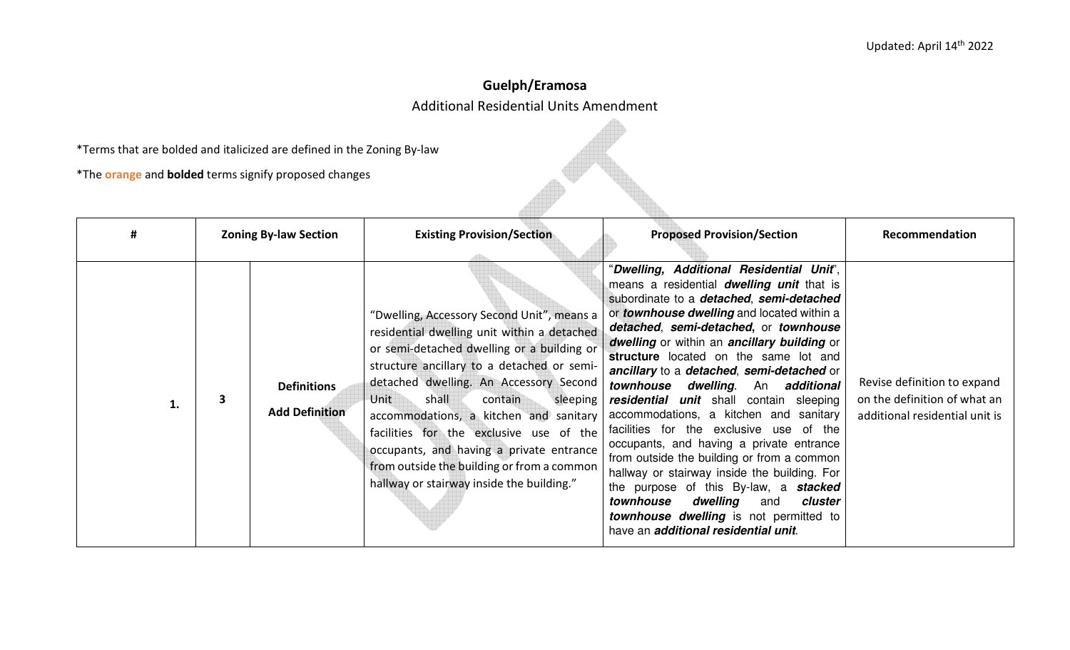## Guelph/Eramosa Additional Residential Units Amendment

**PARTICIPAL** 

\*Terms that are bolded and italicized are defined in the Zoning By-law

\*The orange and bolded terms signify proposed changes

| #  | <b>Zoning By-law Section</b> |                                             | <b>Existing Provision/Section</b>                                                                                                                                                                                                                                                                                                                                                                                                                                                                   | <b>Proposed Provision/Section</b>                                                                                                                                                                                                                                                                                                                                                                                                                                                                                                                                                                                                                                                                                                                                                                                                                                                         | Recommendation                                                                                |
|----|------------------------------|---------------------------------------------|-----------------------------------------------------------------------------------------------------------------------------------------------------------------------------------------------------------------------------------------------------------------------------------------------------------------------------------------------------------------------------------------------------------------------------------------------------------------------------------------------------|-------------------------------------------------------------------------------------------------------------------------------------------------------------------------------------------------------------------------------------------------------------------------------------------------------------------------------------------------------------------------------------------------------------------------------------------------------------------------------------------------------------------------------------------------------------------------------------------------------------------------------------------------------------------------------------------------------------------------------------------------------------------------------------------------------------------------------------------------------------------------------------------|-----------------------------------------------------------------------------------------------|
| 1. | 3                            | <b>Definitions</b><br><b>Add Definition</b> | "Dwelling, Accessory Second Unit", means a<br>residential dwelling unit within a detached<br>or semi-detached dwelling or a building or<br>structure ancillary to a detached or semi-<br>detached dwelling. An Accessory Second<br>shall<br>Unit<br>contain<br>sleeping<br>accommodations, a kitchen and sanitary<br>facilities for the exclusive use of the<br>occupants, and having a private entrance<br>from outside the building or from a common<br>hallway or stairway inside the building." | "Dwelling, Additional Residential Unit",<br>means a residential <b>dwelling unit</b> that is<br>subordinate to a detached, semi-detached<br>or <i>townhouse dwelling</i> and located within a<br>detached, semi-detached, or townhouse<br>dwelling or within an ancillary building or<br>structure located on the same lot and<br>ancillary to a detached, semi-detached or<br>townhouse<br>dwelling. An additional<br>residential unit shall contain sleeping<br>accommodations, a kitchen and sanitary<br>facilities for the exclusive use of the<br>occupants, and having a private entrance<br>from outside the building or from a common<br>hallway or stairway inside the building. For<br>the purpose of this By-law, a <b>stacked</b><br>dwelling<br>townhouse<br>cluster<br>and<br><b>townhouse dwelling</b> is not permitted to<br>have an <i>additional residential unit</i> . | Revise definition to expand<br>on the definition of what an<br>additional residential unit is |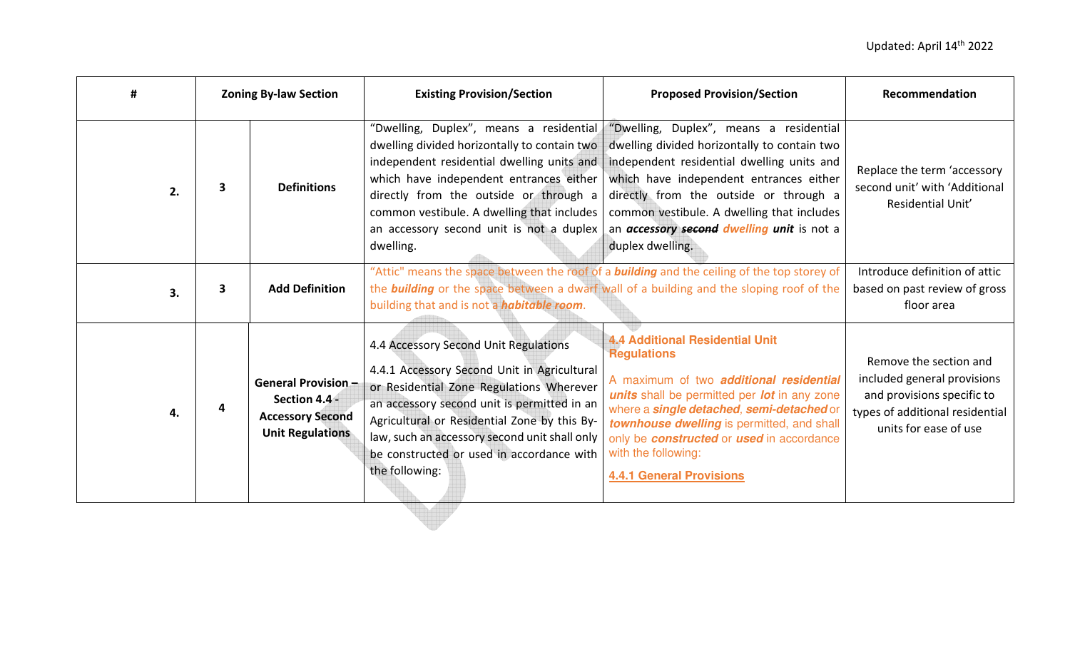| #  | <b>Zoning By-law Section</b> |                                                                                                   | <b>Existing Provision/Section</b>                                                                                                                                                                                                                                                                                                               | <b>Proposed Provision/Section</b>                                                                                                                                                                                                                                                                                                                                        | Recommendation                                                                                                                                  |
|----|------------------------------|---------------------------------------------------------------------------------------------------|-------------------------------------------------------------------------------------------------------------------------------------------------------------------------------------------------------------------------------------------------------------------------------------------------------------------------------------------------|--------------------------------------------------------------------------------------------------------------------------------------------------------------------------------------------------------------------------------------------------------------------------------------------------------------------------------------------------------------------------|-------------------------------------------------------------------------------------------------------------------------------------------------|
| 2. | 3                            | <b>Definitions</b>                                                                                | "Dwelling, Duplex", means a residential<br>dwelling divided horizontally to contain two<br>independent residential dwelling units and<br>which have independent entrances either<br>directly from the outside or through a<br>common vestibule. A dwelling that includes<br>an accessory second unit is not a duplex<br>dwelling.               | "Dwelling, Duplex", means a residential<br>dwelling divided horizontally to contain two<br>independent residential dwelling units and<br>which have independent entrances either<br>directly from the outside or through a<br>common vestibule. A dwelling that includes<br>an accessory second dwelling unit is not a<br>duplex dwelling.                               | Replace the term 'accessory<br>second unit' with 'Additional<br>Residential Unit'                                                               |
| 3. | 3                            | <b>Add Definition</b>                                                                             | building that and is not a <i>habitable room</i> .                                                                                                                                                                                                                                                                                              | "Attic" means the space between the roof of a <b>building</b> and the ceiling of the top storey of<br>the <b>building</b> or the space between a dwarf wall of a building and the sloping roof of the                                                                                                                                                                    | Introduce definition of attic<br>based on past review of gross<br>floor area                                                                    |
| 4. |                              | <b>General Provision -</b><br>Section 4.4 -<br><b>Accessory Second</b><br><b>Unit Regulations</b> | 4.4 Accessory Second Unit Regulations<br>4.4.1 Accessory Second Unit in Agricultural<br>or Residential Zone Regulations Wherever<br>an accessory second unit is permitted in an<br>Agricultural or Residential Zone by this By-<br>law, such an accessory second unit shall only<br>be constructed or used in accordance with<br>the following: | <b>4.4 Additional Residential Unit</b><br><b>Regulations</b><br>A maximum of two <b>additional residential</b><br>units shall be permitted per lot in any zone<br>where a <i>single detached</i> , semi-detached or<br>townhouse dwelling is permitted, and shall<br>only be constructed or used in accordance<br>with the following:<br><b>4.4.1 General Provisions</b> | Remove the section and<br>included general provisions<br>and provisions specific to<br>types of additional residential<br>units for ease of use |
|    |                              |                                                                                                   |                                                                                                                                                                                                                                                                                                                                                 |                                                                                                                                                                                                                                                                                                                                                                          |                                                                                                                                                 |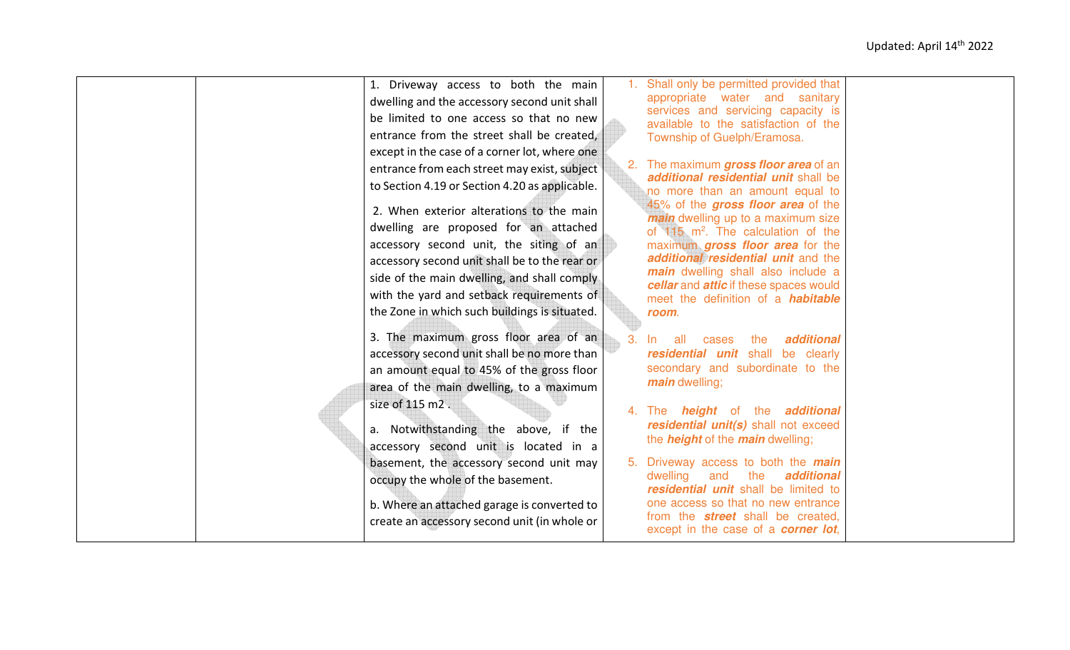|  | 1. Driveway access to both the main            | 1. Shall only be permitted provided that                                            |  |
|--|------------------------------------------------|-------------------------------------------------------------------------------------|--|
|  | dwelling and the accessory second unit shall   | appropriate water and sanitary                                                      |  |
|  | be limited to one access so that no new        | services and servicing capacity is<br>available to the satisfaction of the          |  |
|  | entrance from the street shall be created,     | Township of Guelph/Eramosa.                                                         |  |
|  | except in the case of a corner lot, where one  |                                                                                     |  |
|  | entrance from each street may exist, subject   | 2. The maximum gross floor area of an                                               |  |
|  | to Section 4.19 or Section 4.20 as applicable. | additional residential unit shall be                                                |  |
|  |                                                | no more than an amount equal to<br>45% of the gross floor area of the               |  |
|  | 2. When exterior alterations to the main       | <i>main</i> dwelling up to a maximum size                                           |  |
|  | dwelling are proposed for an attached          | of $115$ m <sup>2</sup> . The calculation of the                                    |  |
|  | accessory second unit, the siting of an        | maximum gross floor area for the                                                    |  |
|  | accessory second unit shall be to the rear or  | additional residential unit and the                                                 |  |
|  | side of the main dwelling, and shall comply    | main dwelling shall also include a                                                  |  |
|  | with the yard and setback requirements of      | cellar and attic if these spaces would<br>meet the definition of a <i>habitable</i> |  |
|  | the Zone in which such buildings is situated.  | room.                                                                               |  |
|  |                                                |                                                                                     |  |
|  | 3. The maximum gross floor area of an          | additional<br>-all<br>the<br>-In<br>cases                                           |  |
|  | accessory second unit shall be no more than    | residential unit shall be clearly                                                   |  |
|  | an amount equal to 45% of the gross floor      | secondary and subordinate to the                                                    |  |
|  | area of the main dwelling, to a maximum        | <i>main</i> dwelling;                                                               |  |
|  | size of 115 m2.                                | 4. The <b>height</b> of the <b>additional</b>                                       |  |
|  |                                                | residential unit(s) shall not exceed                                                |  |
|  | a. Notwithstanding the above, if the           | the <i>height</i> of the <i>main</i> dwelling;                                      |  |
|  | accessory second unit is located in a          |                                                                                     |  |
|  | basement, the accessory second unit may        | 5. Driveway access to both the <i>main</i><br>dwelling<br>additional<br>and<br>the  |  |
|  | occupy the whole of the basement.              | residential unit shall be limited to                                                |  |
|  | b. Where an attached garage is converted to    | one access so that no new entrance                                                  |  |
|  | create an accessory second unit (in whole or   | from the <b>street</b> shall be created,                                            |  |
|  |                                                | except in the case of a <b>corner lot</b> ,                                         |  |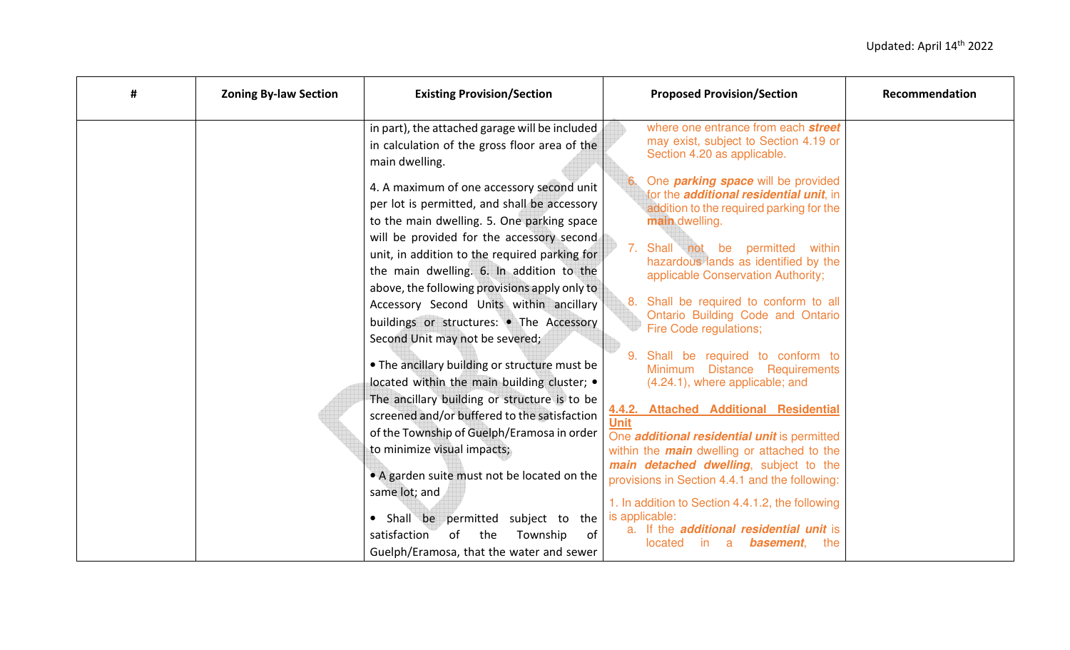| # | <b>Zoning By-law Section</b> | <b>Existing Provision/Section</b>                               |                | <b>Proposed Provision/Section</b>                                                            | Recommendation |
|---|------------------------------|-----------------------------------------------------------------|----------------|----------------------------------------------------------------------------------------------|----------------|
|   |                              | in part), the attached garage will be included                  |                | where one entrance from each street<br>may exist, subject to Section 4.19 or                 |                |
|   |                              | in calculation of the gross floor area of the<br>main dwelling. |                | Section 4.20 as applicable.                                                                  |                |
|   |                              | 4. A maximum of one accessory second unit                       |                | One <i>parking space</i> will be provided<br>for the <i>additional residential unit</i> , in |                |
|   |                              | per lot is permitted, and shall be accessory                    |                | addition to the required parking for the                                                     |                |
|   |                              | to the main dwelling. 5. One parking space                      |                | main dwelling.                                                                               |                |
|   |                              | will be provided for the accessory second                       |                | 7. Shall not be permitted<br>within                                                          |                |
|   |                              | unit, in addition to the required parking for                   |                | hazardous lands as identified by the                                                         |                |
|   |                              | the main dwelling. 6. In addition to the                        |                | applicable Conservation Authority;                                                           |                |
|   |                              | above, the following provisions apply only to                   |                |                                                                                              |                |
|   |                              | Accessory Second Units within ancillary                         | 8.             | Shall be required to conform to all<br>Ontario Building Code and Ontario                     |                |
|   |                              | buildings or structures: • The Accessory                        |                | Fire Code regulations;                                                                       |                |
|   |                              | Second Unit may not be severed;                                 |                |                                                                                              |                |
|   |                              | . The ancillary building or structure must be                   | 9 <sub>1</sub> | Shall be required to conform to<br>Minimum Distance Requirements                             |                |
|   |                              | located within the main building cluster; •                     |                | (4.24.1), where applicable; and                                                              |                |
|   |                              | The ancillary building or structure is to be                    |                |                                                                                              |                |
|   |                              | screened and/or buffered to the satisfaction                    | <b>Unit</b>    | 4.4.2. Attached Additional Residential                                                       |                |
|   |                              | of the Township of Guelph/Eramosa in order                      |                | One <i>additional residential unit</i> is permitted                                          |                |
|   |                              | to minimize visual impacts;                                     |                | within the <i>main</i> dwelling or attached to the                                           |                |
|   |                              | • A garden suite must not be located on the                     |                | main detached dwelling, subject to the                                                       |                |
|   |                              | same lot; and                                                   |                | provisions in Section 4.4.1 and the following:                                               |                |
|   |                              |                                                                 |                | 1. In addition to Section 4.4.1.2, the following                                             |                |
|   |                              | • Shall be permitted<br>subject to the                          |                | is applicable:                                                                               |                |
|   |                              | satisfaction<br>the<br>Township<br>οf<br>of                     |                | a. If the <i>additional residential unit</i> is<br>a<br>basement,<br>located<br>in.<br>the   |                |
|   |                              | Guelph/Eramosa, that the water and sewer                        |                |                                                                                              |                |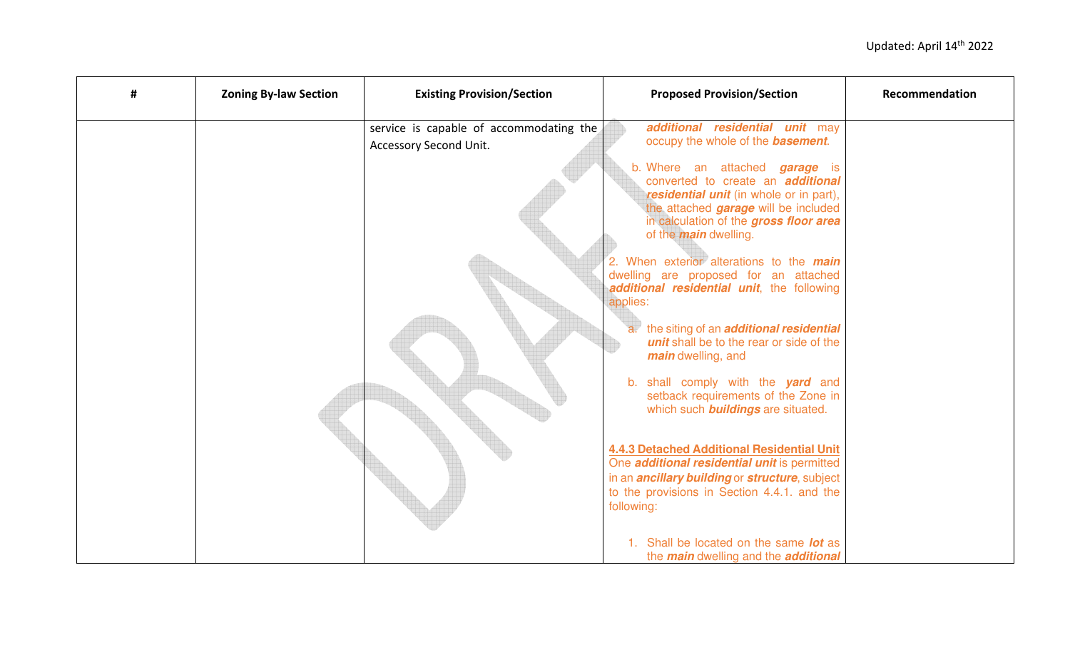| # | <b>Zoning By-law Section</b> | <b>Existing Provision/Section</b>                                 | <b>Proposed Provision/Section</b>                                                                                                                                                                                                              | Recommendation |
|---|------------------------------|-------------------------------------------------------------------|------------------------------------------------------------------------------------------------------------------------------------------------------------------------------------------------------------------------------------------------|----------------|
|   |                              | service is capable of accommodating the<br>Accessory Second Unit. | additional residential unit may<br>occupy the whole of the <b>basement</b> .                                                                                                                                                                   |                |
|   |                              |                                                                   | b. Where an attached garage is<br>converted to create an <b>additional</b><br>residential unit (in whole or in part),<br>the attached <i>garage</i> will be included<br>in calculation of the gross floor area<br>of the <i>main</i> dwelling. |                |
|   |                              |                                                                   | 2. When exterior alterations to the <i>main</i><br>dwelling are proposed for an attached<br>additional residential unit, the following<br>applies:                                                                                             |                |
|   |                              |                                                                   | a. the siting of an <b>additional residential</b><br>unit shall be to the rear or side of the<br><i>main</i> dwelling, and                                                                                                                     |                |
|   |                              |                                                                   | b. shall comply with the <b>yard</b> and<br>setback requirements of the Zone in<br>which such <b>buildings</b> are situated.                                                                                                                   |                |
|   |                              |                                                                   | <b>4.4.3 Detached Additional Residential Unit</b><br>One <i>additional residential unit</i> is permitted<br>in an <i>ancillary building</i> or <i>structure</i> , subject                                                                      |                |
|   |                              |                                                                   | to the provisions in Section 4.4.1. and the<br>following:                                                                                                                                                                                      |                |
|   |                              |                                                                   | 1. Shall be located on the same lot as<br>the <i>main</i> dwelling and the <i>additional</i>                                                                                                                                                   |                |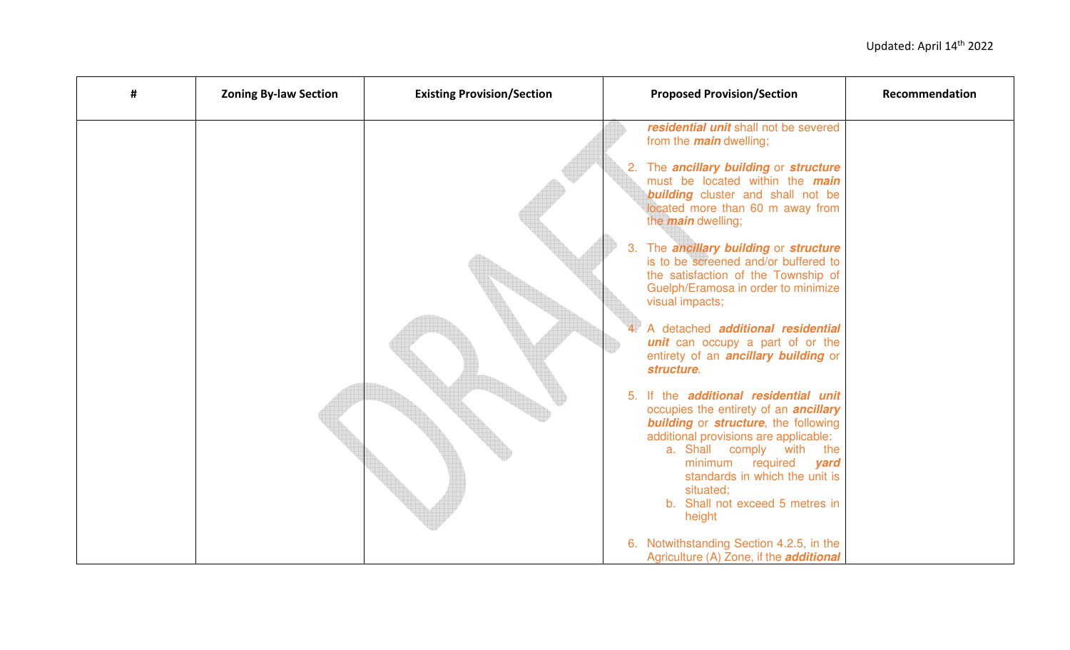| # | <b>Zoning By-law Section</b> | <b>Existing Provision/Section</b> | <b>Proposed Provision/Section</b>                                                                                                                                                                                                                                                                                                            | Recommendation |
|---|------------------------------|-----------------------------------|----------------------------------------------------------------------------------------------------------------------------------------------------------------------------------------------------------------------------------------------------------------------------------------------------------------------------------------------|----------------|
|   |                              |                                   | residential unit shall not be severed<br>from the <i>main</i> dwelling;                                                                                                                                                                                                                                                                      |                |
|   |                              |                                   | 2. The ancillary building or structure<br>must be located within the <i>main</i><br><b>building</b> cluster and shall not be<br>located more than 60 m away from<br>the <i>main</i> dwelling;                                                                                                                                                |                |
|   |                              |                                   | 3. The ancillary building or structure<br>is to be screened and/or buffered to<br>the satisfaction of the Township of<br>Guelph/Eramosa in order to minimize<br>visual impacts;                                                                                                                                                              |                |
|   |                              |                                   | A detached <b>additional residential</b><br>unit can occupy a part of or the<br>entirety of an <b>ancillary building</b> or<br>structure.                                                                                                                                                                                                    |                |
|   |                              |                                   | 5. If the additional residential unit<br>occupies the entirety of an <i>ancillary</i><br><b>building</b> or <b>structure</b> , the following<br>additional provisions are applicable:<br>a. Shall comply with<br>the<br>minimum required<br>yard<br>standards in which the unit is<br>situated;<br>b. Shall not exceed 5 metres in<br>height |                |
|   |                              |                                   | 6. Notwithstanding Section 4.2.5, in the<br>Agriculture (A) Zone, if the <i>additional</i>                                                                                                                                                                                                                                                   |                |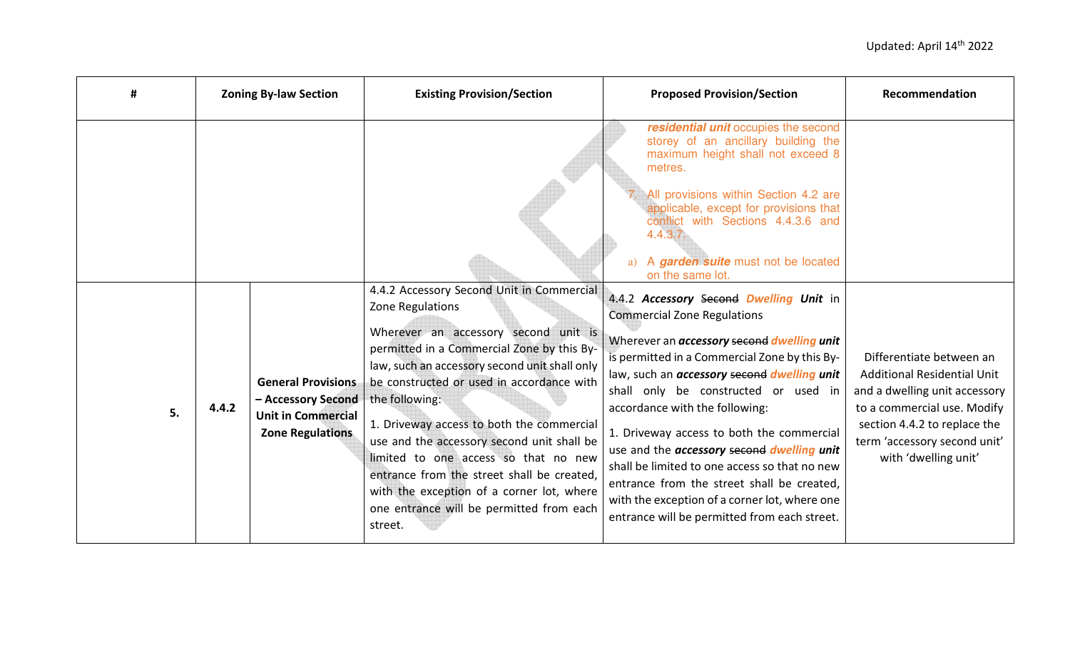| #  | <b>Zoning By-law Section</b> |                                                                                                         | <b>Existing Provision/Section</b>                                                                                                                                                                                                                                                                                                                                                                                                                                                                                                                        | <b>Proposed Provision/Section</b>                                                                                                                                                                                                                                                                                                                                                                                                                                                                                                                                                                                            | Recommendation                                                                                                                                                                                                  |
|----|------------------------------|---------------------------------------------------------------------------------------------------------|----------------------------------------------------------------------------------------------------------------------------------------------------------------------------------------------------------------------------------------------------------------------------------------------------------------------------------------------------------------------------------------------------------------------------------------------------------------------------------------------------------------------------------------------------------|------------------------------------------------------------------------------------------------------------------------------------------------------------------------------------------------------------------------------------------------------------------------------------------------------------------------------------------------------------------------------------------------------------------------------------------------------------------------------------------------------------------------------------------------------------------------------------------------------------------------------|-----------------------------------------------------------------------------------------------------------------------------------------------------------------------------------------------------------------|
|    |                              |                                                                                                         |                                                                                                                                                                                                                                                                                                                                                                                                                                                                                                                                                          | residential unit occupies the second<br>storey of an ancillary building the<br>maximum height shall not exceed 8<br>metres.<br>All provisions within Section 4.2 are<br>applicable, except for provisions that<br>conflict with Sections 4.4.3.6 and<br>4.4.3.7.<br>a) A garden suite must not be located<br>on the same lot.                                                                                                                                                                                                                                                                                                |                                                                                                                                                                                                                 |
| 5. | 4.4.2                        | <b>General Provisions</b><br>- Accessory Second<br><b>Unit in Commercial</b><br><b>Zone Regulations</b> | 4.4.2 Accessory Second Unit in Commercial<br>Zone Regulations<br>Wherever an accessory second unit is<br>permitted in a Commercial Zone by this By-<br>law, such an accessory second unit shall only<br>be constructed or used in accordance with<br>the following:<br>1. Driveway access to both the commercial<br>use and the accessory second unit shall be<br>limited to one access so that no new<br>entrance from the street shall be created,<br>with the exception of a corner lot, where<br>one entrance will be permitted from each<br>street. | 4.4.2 Accessory Second Dwelling Unit in<br><b>Commercial Zone Regulations</b><br>Wherever an <i>accessory</i> second <i>dwelling unit</i><br>is permitted in a Commercial Zone by this By-<br>law, such an <i>accessory</i> second <i>dwelling unit</i><br>shall only be constructed or used in<br>accordance with the following:<br>1. Driveway access to both the commercial<br>use and the accessory second dwelling unit<br>shall be limited to one access so that no new<br>entrance from the street shall be created,<br>with the exception of a corner lot, where one<br>entrance will be permitted from each street. | Differentiate between an<br>Additional Residential Unit<br>and a dwelling unit accessory<br>to a commercial use. Modify<br>section 4.4.2 to replace the<br>term 'accessory second unit'<br>with 'dwelling unit' |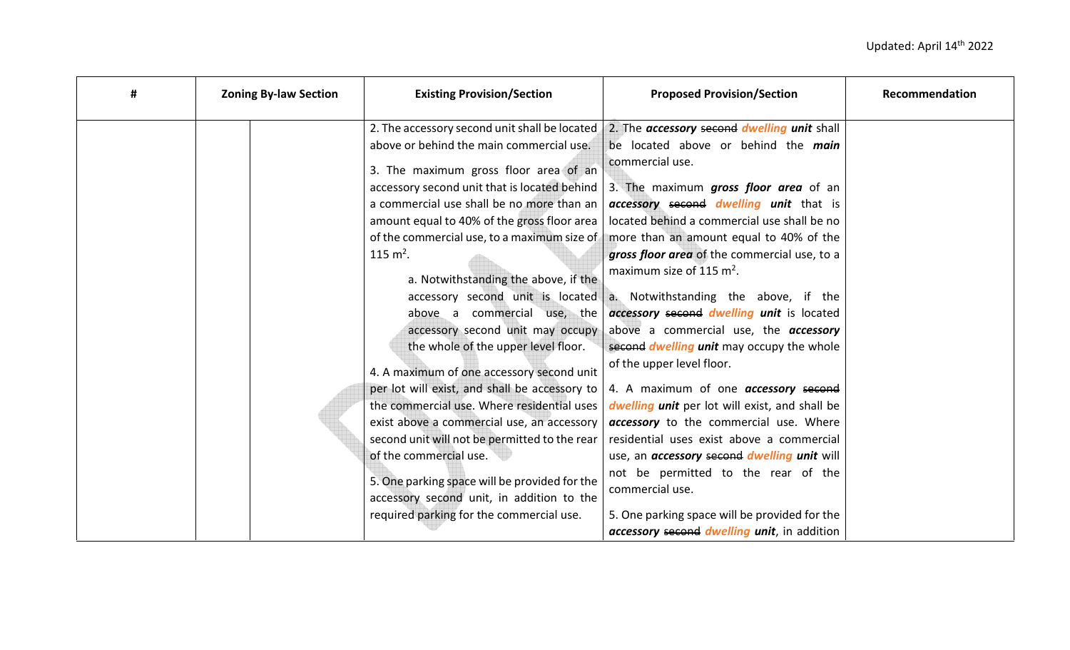| # | <b>Zoning By-law Section</b> | <b>Existing Provision/Section</b>                                                                                                                                                                                                                                                                                                                                                                                                                                                                                                                                                                                                                                                                                                                                                                                                                                                                  | <b>Proposed Provision/Section</b>                                                                                                                                                                                                                                                                                                                                                                                                                                                                                                                                                                                                                                                                                                                                                                                                                                                                                                                                                                    | Recommendation |
|---|------------------------------|----------------------------------------------------------------------------------------------------------------------------------------------------------------------------------------------------------------------------------------------------------------------------------------------------------------------------------------------------------------------------------------------------------------------------------------------------------------------------------------------------------------------------------------------------------------------------------------------------------------------------------------------------------------------------------------------------------------------------------------------------------------------------------------------------------------------------------------------------------------------------------------------------|------------------------------------------------------------------------------------------------------------------------------------------------------------------------------------------------------------------------------------------------------------------------------------------------------------------------------------------------------------------------------------------------------------------------------------------------------------------------------------------------------------------------------------------------------------------------------------------------------------------------------------------------------------------------------------------------------------------------------------------------------------------------------------------------------------------------------------------------------------------------------------------------------------------------------------------------------------------------------------------------------|----------------|
|   |                              | 2. The accessory second unit shall be located<br>above or behind the main commercial use.<br>3. The maximum gross floor area of an<br>accessory second unit that is located behind<br>a commercial use shall be no more than an<br>amount equal to 40% of the gross floor area<br>115 $m^2$ .<br>a. Notwithstanding the above, if the<br>accessory second unit is located<br>above a commercial use, the<br>accessory second unit may occupy<br>the whole of the upper level floor.<br>4. A maximum of one accessory second unit<br>per lot will exist, and shall be accessory to<br>the commercial use. Where residential uses<br>exist above a commercial use, an accessory<br>second unit will not be permitted to the rear<br>of the commercial use.<br>5. One parking space will be provided for the<br>accessory second unit, in addition to the<br>required parking for the commercial use. | 2. The accessory second dwelling unit shall<br>be located above or behind the main<br>commercial use.<br>3. The maximum gross floor area of an<br>accessory second dwelling unit that is<br>located behind a commercial use shall be no<br>of the commercial use, to a maximum size of   more than an amount equal to 40% of the<br>gross floor area of the commercial use, to a<br>maximum size of 115 $m2$ .<br>a. Notwithstanding the above, if the<br>accessory second dwelling unit is located<br>above a commercial use, the <b>accessory</b><br>second <i>dwelling unit</i> may occupy the whole<br>of the upper level floor.<br>4. A maximum of one <b>accessory</b> second<br>dwelling unit per lot will exist, and shall be<br>accessory to the commercial use. Where<br>residential uses exist above a commercial<br>use, an <i>accessory</i> second <i>dwelling unit</i> will<br>not be permitted to the rear of the<br>commercial use.<br>5. One parking space will be provided for the |                |
|   |                              |                                                                                                                                                                                                                                                                                                                                                                                                                                                                                                                                                                                                                                                                                                                                                                                                                                                                                                    | accessory second dwelling unit, in addition                                                                                                                                                                                                                                                                                                                                                                                                                                                                                                                                                                                                                                                                                                                                                                                                                                                                                                                                                          |                |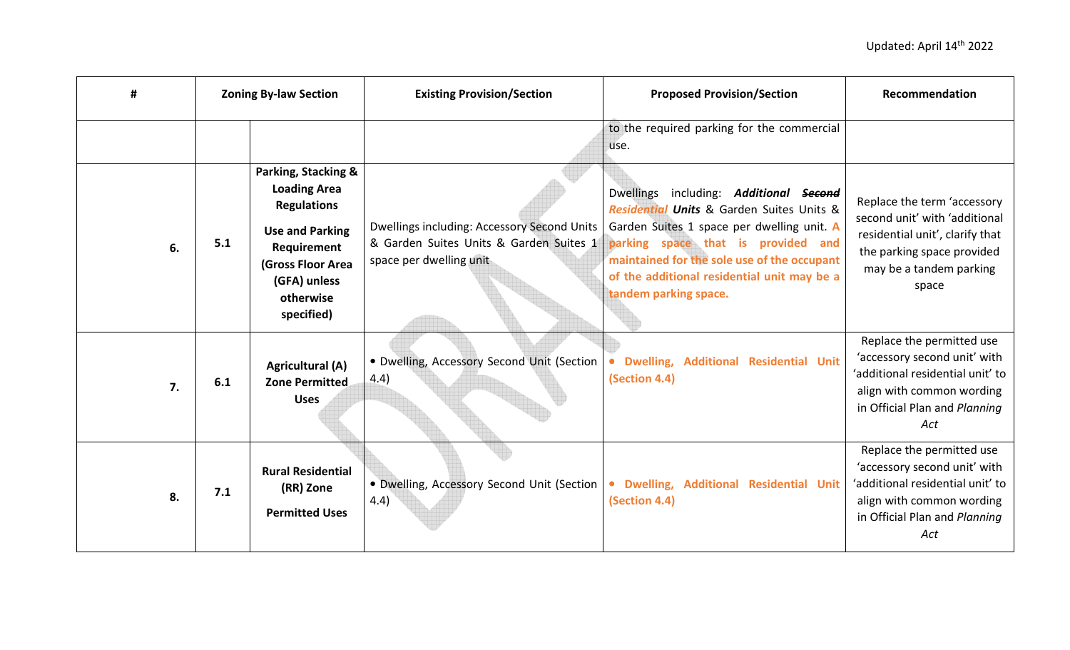| #  | <b>Zoning By-law Section</b> |                                                                                                                                                                           | <b>Existing Provision/Section</b>                                                                                 | <b>Proposed Provision/Section</b>                                                                                                                                                                                                                                                                               | Recommendation                                                                                                                                                     |
|----|------------------------------|---------------------------------------------------------------------------------------------------------------------------------------------------------------------------|-------------------------------------------------------------------------------------------------------------------|-----------------------------------------------------------------------------------------------------------------------------------------------------------------------------------------------------------------------------------------------------------------------------------------------------------------|--------------------------------------------------------------------------------------------------------------------------------------------------------------------|
|    |                              |                                                                                                                                                                           |                                                                                                                   | to the required parking for the commercial<br>use.                                                                                                                                                                                                                                                              |                                                                                                                                                                    |
| 6. | 5.1                          | Parking, Stacking &<br><b>Loading Area</b><br><b>Regulations</b><br><b>Use and Parking</b><br>Requirement<br>(Gross Floor Area<br>(GFA) unless<br>otherwise<br>specified) | Dwellings including: Accessory Second Units<br>& Garden Suites Units & Garden Suites 1<br>space per dwelling unit | <b>Dwellings</b><br>including: <b>Additional Second</b><br>Residential Units & Garden Suites Units &<br>Garden Suites 1 space per dwelling unit. A<br>parking space that is provided and<br>maintained for the sole use of the occupant<br>of the additional residential unit may be a<br>tandem parking space. | Replace the term 'accessory<br>second unit' with 'additional<br>residential unit', clarify that<br>the parking space provided<br>may be a tandem parking<br>space  |
| 7. | 6.1                          | <b>Agricultural (A)</b><br><b>Zone Permitted</b><br><b>Uses</b>                                                                                                           | • Dwelling, Accessory Second Unit (Section<br>(4.4)                                                               | <b>Dwelling,</b><br><b>Additional Residential Unit</b><br>(Section 4.4)                                                                                                                                                                                                                                         | Replace the permitted use<br>'accessory second unit' with<br>'additional residential unit' to<br>align with common wording<br>in Official Plan and Planning<br>Act |
| 8. | 7.1                          | <b>Rural Residential</b><br>(RR) Zone<br><b>Permitted Uses</b>                                                                                                            | . Dwelling, Accessory Second Unit (Section<br>4.4)                                                                | · Dwelling, Additional Residential Unit<br>(Section 4.4)                                                                                                                                                                                                                                                        | Replace the permitted use<br>'accessory second unit' with<br>'additional residential unit' to<br>align with common wording<br>in Official Plan and Planning<br>Act |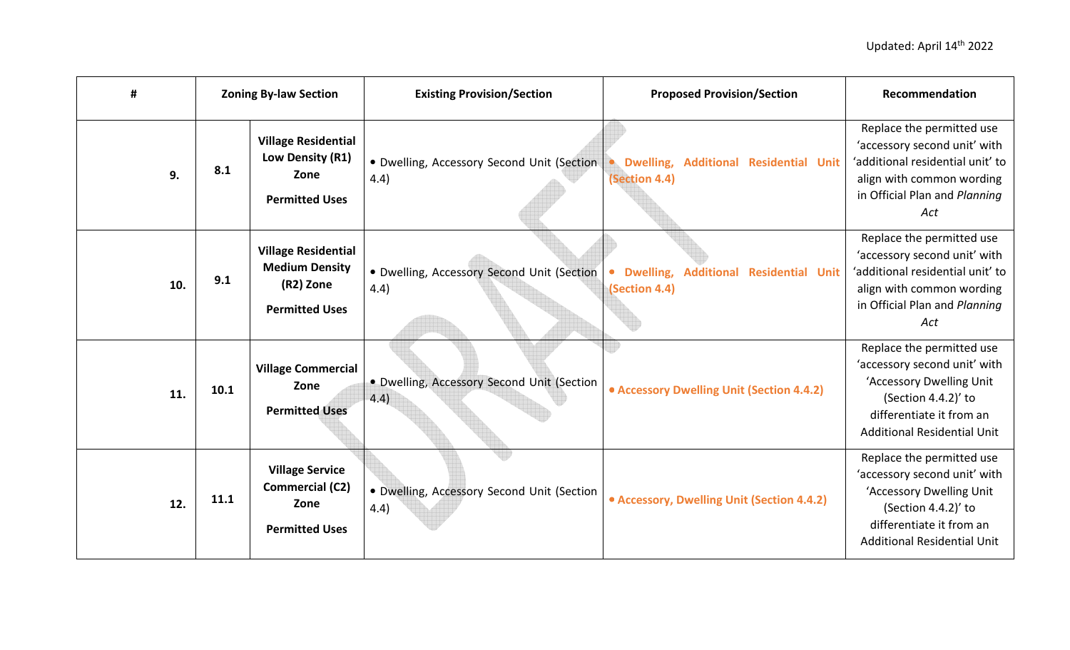| #   | <b>Zoning By-law Section</b> |                                                                                           | <b>Existing Provision/Section</b>                  | <b>Proposed Provision/Section</b>                                  | Recommendation                                                                                                                                                                 |
|-----|------------------------------|-------------------------------------------------------------------------------------------|----------------------------------------------------|--------------------------------------------------------------------|--------------------------------------------------------------------------------------------------------------------------------------------------------------------------------|
| 9.  | 8.1                          | <b>Village Residential</b><br>Low Density (R1)<br>Zone<br><b>Permitted Uses</b>           | • Dwelling, Accessory Second Unit (Section<br>4.4) | · Dwelling,<br><b>Additional Residential Unit</b><br>(Section 4.4) | Replace the permitted use<br>'accessory second unit' with<br>'additional residential unit' to<br>align with common wording<br>in Official Plan and Planning<br>Act             |
| 10. | 9.1                          | <b>Village Residential</b><br><b>Medium Density</b><br>(R2) Zone<br><b>Permitted Uses</b> | • Dwelling, Accessory Second Unit (Section<br>4.4) | · Dwelling,<br><b>Additional Residential Unit</b><br>(Section 4.4) | Replace the permitted use<br>'accessory second unit' with<br>'additional residential unit' to<br>align with common wording<br>in Official Plan and Planning<br>Act             |
| 11. | 10.1                         | <b>Village Commercial</b><br>Zone<br><b>Permitted Uses</b>                                | • Dwelling, Accessory Second Unit (Section<br>4.4) | • Accessory Dwelling Unit (Section 4.4.2)                          | Replace the permitted use<br>'accessory second unit' with<br>'Accessory Dwelling Unit<br>(Section 4.4.2)' to<br>differentiate it from an<br><b>Additional Residential Unit</b> |
| 12. | 11.1                         | <b>Village Service</b><br><b>Commercial (C2)</b><br>Zone<br><b>Permitted Uses</b>         | · Dwelling, Accessory Second Unit (Section<br>4.4) | • Accessory, Dwelling Unit (Section 4.4.2)                         | Replace the permitted use<br>'accessory second unit' with<br>'Accessory Dwelling Unit<br>(Section 4.4.2)' to<br>differentiate it from an<br><b>Additional Residential Unit</b> |